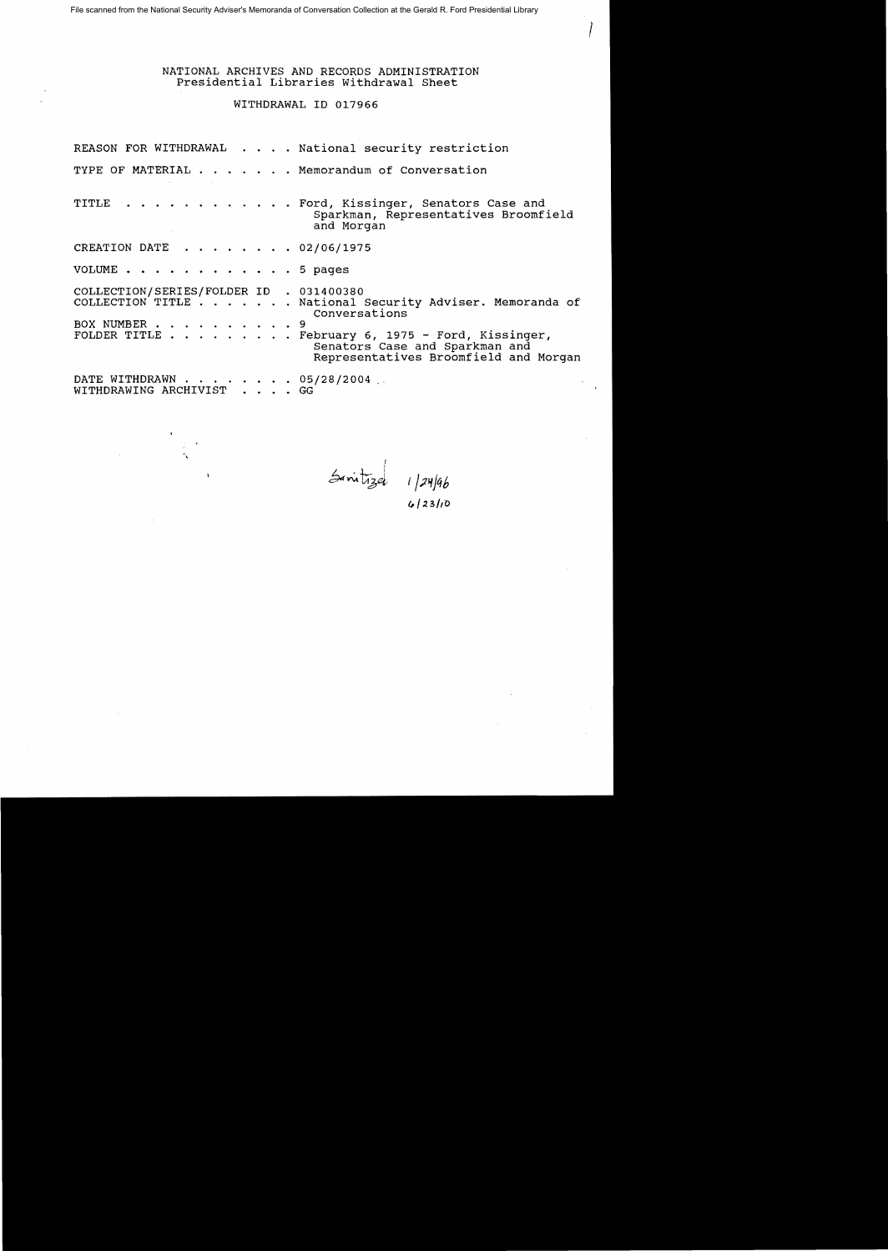NATIONAL ARCHIVES AND RECORDS ADMINISTRATION Presidential Libraries withdrawal Sheet

# WITHDRAWAL ID 017966

REASON FOR WITHDRAWAL . . . . National security restriction TYPE OF MATERIAL . . . . . . Memorandum of Conversation TITLE . . . . . . . . . . . . Ford, Kissinger, Senators Case and Sparkman, Representatives Broomfield and Morgan CREATION DATE  $\cdot \cdot \cdot \cdot \cdot \cdot \cdot 02/06/1975$ VOLUME . . . . . . . . . . . . 5 pages COLLECTION/SERIES/FOLDER ID . 031400380<br>COLLECTION TITLE . . . . . . . National : National Security Adviser. Memoranda of Conversations BOX NUMBER . . . . . . . . . . 9<br>FOLDER TITLE . . . . . . . . F February 6, 1975 - Ford, Kissinger, Senators Case and Sparkman and Representatives Broomfield and Morgan DATE WITHDRAWN  $\cdot$  . . . . . . . 05/28/2004 . WITHDRAWING ARCHIVIST  $\cdot$  . . . GG WITHDRAWING ARCHIVIST

š.

I I  $24^{11}$   $124/46$ 

*C,/"3/(O* 

 $\int_0^1$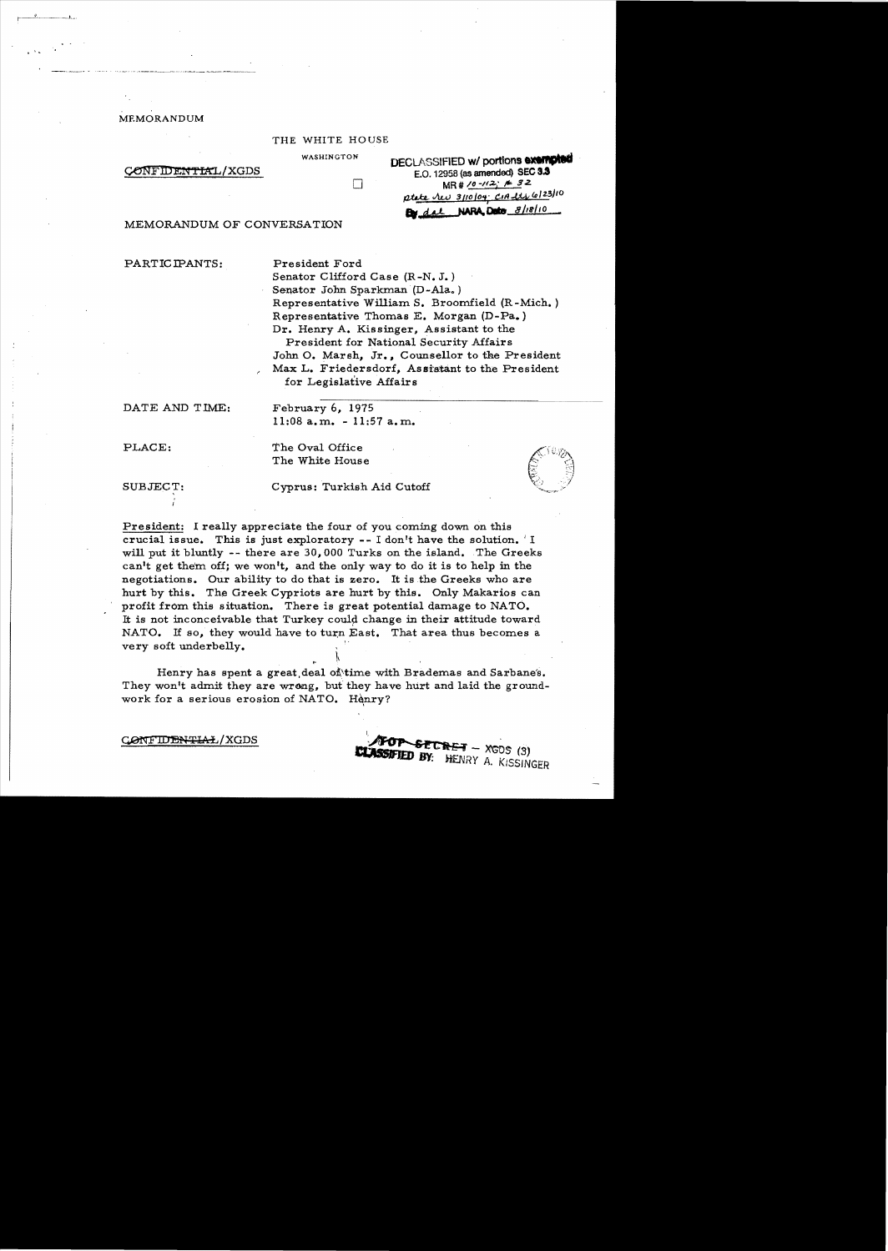# MEMORANDUM

t ~ ..

#### THE WHITE HOUSE

П

WASHINGTON DECLASSIFIED **w/ portions exempted CONFIDENTIAL/XGDS** E.O. 12958 (as amended) SEC 3.3 MR # 10 -112. # 32  $\alpha t$   $\alpha$   $\alpha$  3/10/04  $\alpha$  12  $\alpha$  123/10 By dal NARA Dete 8/18/10

### MEMORANDUM OF CONVERSATION

PARTICIPANTS: President Ford

Senator Clifford Case (R-N. J.) Senator John Sparkman (D-Ala.) Representative William S. Broomfield (R-Mich. ) Representative Thomas E. Morgan (D-Pa.) Dr. Henry A. Kissinger. Assistant to the President for National Security Affairs John O. Marsh, Jr., Counsellor to the President Max L. Friedersdorf, Assistant to the President for Legislative Affairs

-=----------------~ ..

 $70P$  secret  $XGDS$  (3) **TED BY:** HENRY A. KISSINGER --~

DATE AND TIME: February 6, 1975

 $11:08$  a.m.  $-11:57$  a.m.

PLACE: The Oval Office The White House

SUBJECT: Cyprus: Turkish Aid Cutoff

President: I really appreciate the four of you coming down on this crucial issue. This is just exploratory  $-1$  don't have the solution.  $\perp$  I will put it bluntly -- there are 30,000 Turks on the island. The Greeks can't get them off; we won't, and the only way to do it is to help in the negotiations. Our ability to do that is zero. It is the Greeks who are hurt by this. The Greek Cypriots are hurt by this. Only Makarios can profit from this situation. There is great potential damage to NATO. It is not inconceivable that Turkey could change in their attitude toward NATO. If so, they would have to turn East. That area thus becomes a very soft underbelly.

Henry has spent a great deal of time with Brademas and Sarbane's. They won't admit they are wrong, but they have hurt and laid the groundwork for a serious erosion of NATO. Henry?

I,

!.

CONFIDE<del>NTIAL</del>/XGDS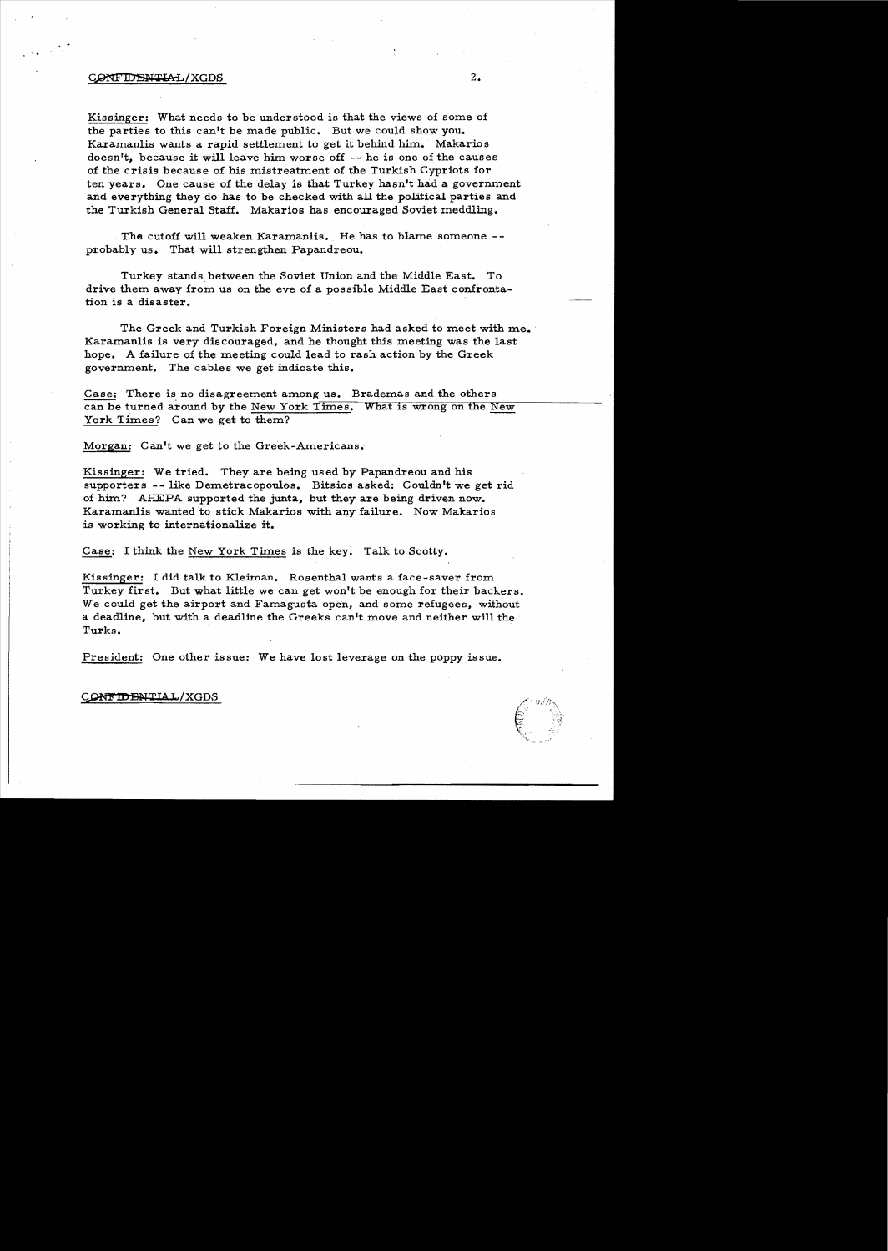## CONFIDENTIAL/XGDS

Kissinger: What needs to be understood is that the views of some of the parties to this can't be made public. But we could show you. Karamanlis wants a rapid settlement to get it behind him. Makarios doesn't, because it will leave him worse off -- he is one of the causes of the crisis because of his mistreatment of the Turkish Cypriots for ten years. One cause of the delay is that Turkey hasn't had a government and everything they do has to be checked with all the political parties and the Turkish General Staff. Makarios has encouraged Soviet meddling.

The cutoff will weaken Karamanlis. He has to blame someone -probably us. That will strengthen Papandreou.

Turkey stands between the Soviet Union and the Middle East. To drive them away from us on the eve of a possible Middle East confronta tion is a disaster.

The Greek and Turkish Foreign Ministers had asked to meet with me. Karamanlis is very discouraged, and he thought this meeting was the last hope. A failure of the meeting could lead to rash action by the Greek government. The cables we get indicate this.

Case: There is no disagreement among us. Brademas and the others case: There is no disagreement among us. Brademas and the others<br>can be turned around by the New York Times. What is wrong on the New<br>York Times? Can we get to them?

Morgan: Can't we get to the Greek-Americans.'

Kissinger: We tried. They are being used by Papandreou and his supporters -- like Demetracopoulos. Bitsios asked: Couldn't we get rid of him? AHEPA supported the junta, but they are being driven now. Karamanlis wanted to stick Makarios with any failure. Now Makarios is working to internationalize it.

Case: 1 think the New York Times is the key. Talk to Scotty.

Kissinger: I did talk to Kleiman. Rosenthal wants a face-saver from Turkey first. But what little we can get won't be enough for their backers. We could get the airport and Famagusta open, and some refugees, without a deadline, but with a deadline the Greeks can't move and neither will the Turks.

President: One other issue: We have lost leverage on the poppy issue.

CONTIDENTIAL/XGDS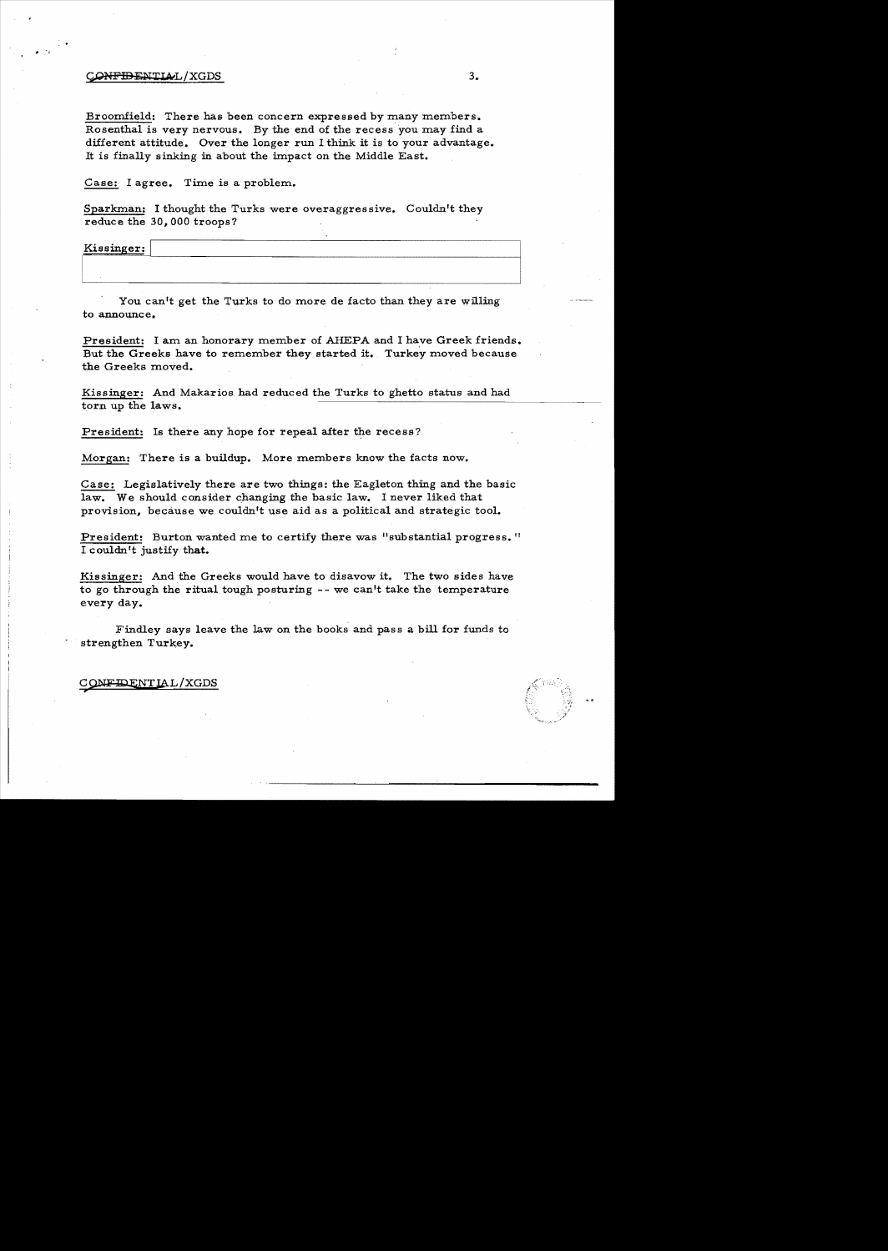### CONFIDENTIAL/XGDS

Broomfield: There has been concern expressed by many members. Rosenthal is very nervous. By the end of the recess you may find a different attitude. Over the longer run I think it is to your advantage. It is finally sinking in about the impact on the Middle East.

Case: I agree. Time is a problem.

Sparkman: I thought the Turks were overaggressive. Couldn't they reduce the 30,000 troops?

Kissinger:

 $\ddot{\phantom{a}}$ 

You can't get the Turks to do more de facto than they are willing to announce.

President: I am an honorary member of AHEPA and I have Greek friends. But the Greeks have to remember they started it. Turkey moved because the Greeks moved.

Kissinger: And Makarios. had reduced the Turks to ghetto status and had torn up the laws.

President: Is there any hope for repeal after the recess?

Morgan: There is a buildup. More members know the facts now.

Case: Legislatively there are two things: the Eagleton thing and the basic law. We should consider changing the basic law. I never liked that provision, because we couldn't use aid as a political and strategic tool.

President: Burton wanted me to certify there was "substantial progress." I couldn't justify that.

Kissinger: And the Greeks would have to disavow it. The two sides have to go through the ritual tough posturing -- we can't take the temperature every day.

Findley says leave the law on the books and pass a bill for funds to strengthen Turkey.

## CONFIDENTIAL/XGDS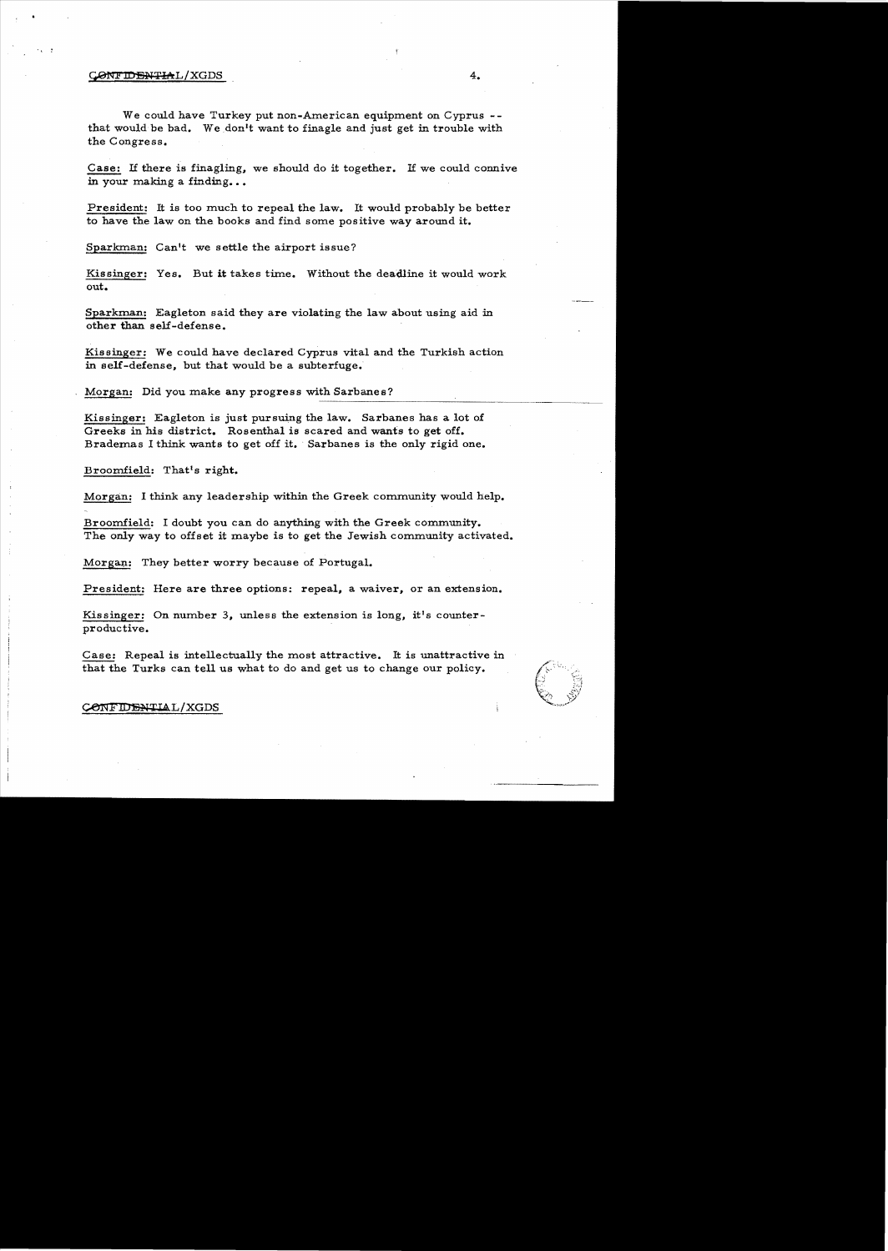# CONFIDENTIAL/XGDS

We could have Turkey put non-American equipment on Cyprus -that would be bad. We don't want to finagle and just get in trouble with the Congress.

Case: If there is finagling, we should do it together. If we could connive in your making a finding...

President: It is too much to repeal the law. It would probably be better to have the law on the books and find some positive way around it.

Sparkman: Can't we settle the airport issue?

Kissinger: Yes. But it takes time. Without the deadline it would work out.

Sparkman: Eagleton said they are violating the law about using aid in other than self-defense.

Kissinger: We could have declared Cyprus vital and the Turkish action in self-defense, but that would be a subterfuge.

Morgan: Did you make any progress with Sarbanes?

Kissinger: Eagleton is just pursuing the law. Sarbanes has a lot of Greeks in his district. Rosenthal is scared and wants to get off. Brademas I think wants to get off it. Sarbanes is the only rigid one.

Broomfield: That's right.

Morgan: I think any leadership within the Greek community would help.

Broomfield: I doubt you can do anything with the Greek community. The only way to offset it maybe is to get the Jewish community activated.

Morgan: They better worry because of Portugal.

President: Here are three options: repeal, a waiver, or an extension.

Kissinger: On number 3, unless the extension is long, it's counterproductive.

Case: Repeal is intellectually the most attractive. It is unattractive in that the Turks can tell us what to do and get us to change our policy.



#### CONFIDENTIAL/XGDS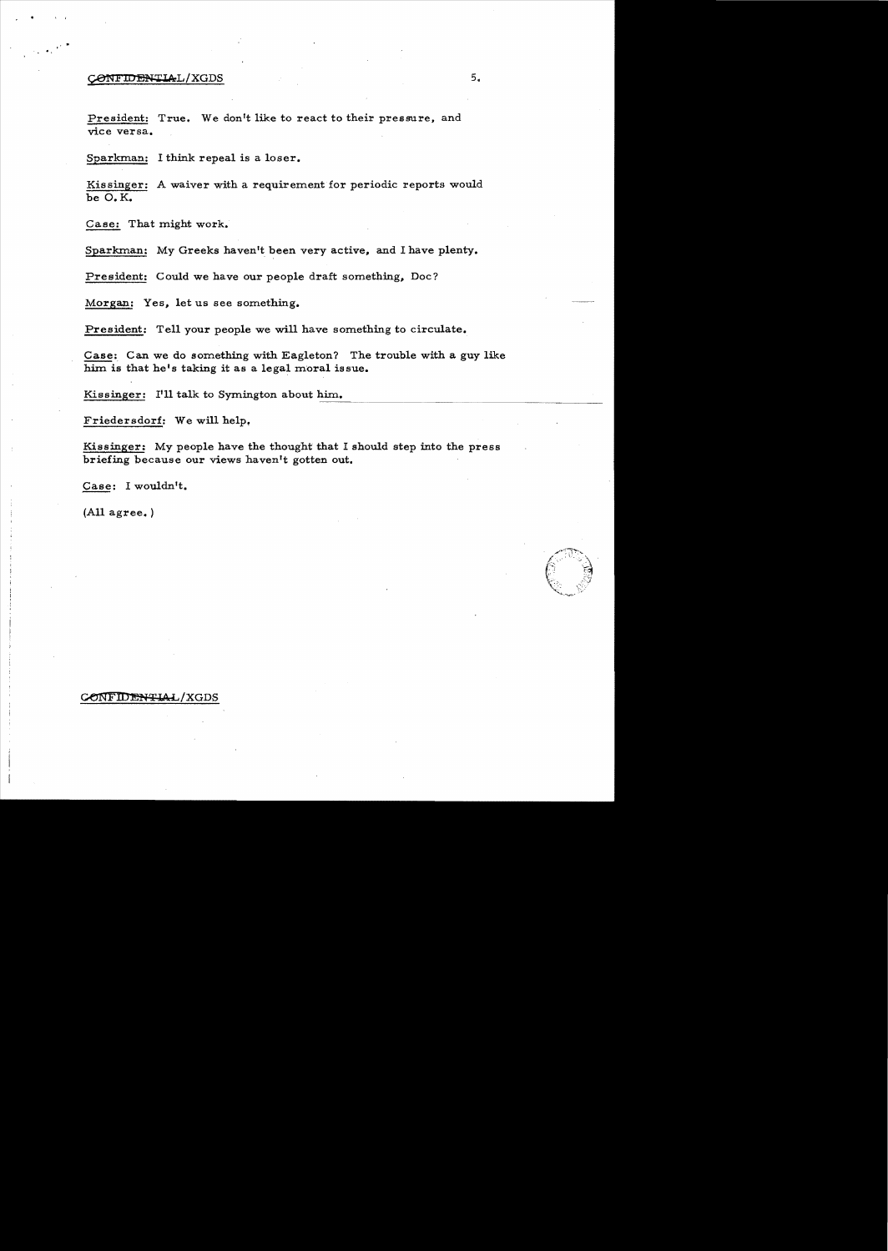# $\text{COMFIDENTLAL/XGDS}$  5.

, .

President: True. We don<sup>1</sup>t like to react to their pressure, and vice versa.

Sparkman: I think repeal is a loser.

Kissinger: A waiver with a requirement for periodic reports would be O.K.

Case: That might work.

Sparkman: My Greeks haven't been very active, and I have plenty.

President: Could we have our people draft something, Doc?

Morgan: Yes, let us see something.

President: Tell your people we will have something to circulate.

Case: Can we do something with Eagleton? The trouble with a guy like him is that he's taking it as a legal moral issue.

Kissinger: I'll talk to Symington about him. ----- ........-----~---~----.. \_ ..............------------------

Friedersdorf: We will help,

Kissinger: My people have the thought that I should step into the press briefing because our views haven't gotten out.

Case: I wouldn't.

(All agree. )

CONFIDENTIAL/XGDS